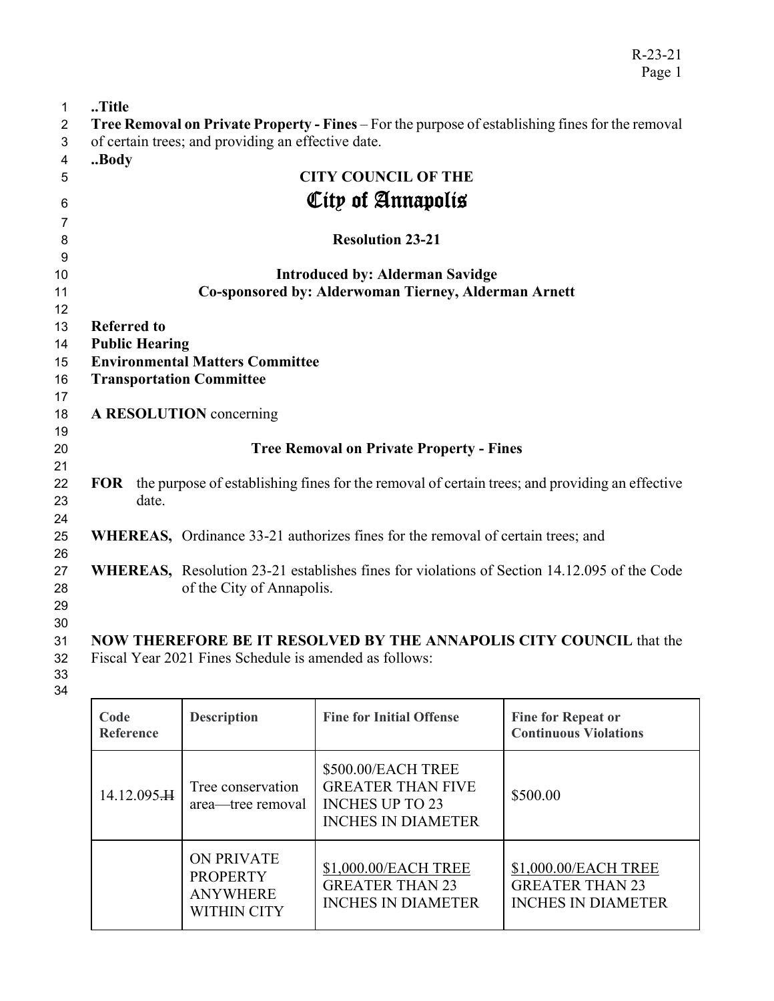R-23-21 Page 1

| 1                          | Title                                                                                                                                |  |  |  |
|----------------------------|--------------------------------------------------------------------------------------------------------------------------------------|--|--|--|
| $\overline{2}$             | Tree Removal on Private Property - Fines - For the purpose of establishing fines for the removal                                     |  |  |  |
| 3                          | of certain trees; and providing an effective date.                                                                                   |  |  |  |
| 4                          | Body                                                                                                                                 |  |  |  |
| 5                          | <b>CITY COUNCIL OF THE</b>                                                                                                           |  |  |  |
| 6                          | City of Annapolis                                                                                                                    |  |  |  |
| 7                          |                                                                                                                                      |  |  |  |
| 8                          | <b>Resolution 23-21</b>                                                                                                              |  |  |  |
| 9                          |                                                                                                                                      |  |  |  |
| 10                         | <b>Introduced by: Alderman Savidge</b>                                                                                               |  |  |  |
| 11                         | Co-sponsored by: Alderwoman Tierney, Alderman Arnett                                                                                 |  |  |  |
| 12                         |                                                                                                                                      |  |  |  |
| 13                         | <b>Referred to</b>                                                                                                                   |  |  |  |
| 14                         | <b>Public Hearing</b>                                                                                                                |  |  |  |
| 15                         | <b>Environmental Matters Committee</b>                                                                                               |  |  |  |
| 16                         | <b>Transportation Committee</b>                                                                                                      |  |  |  |
| 17                         |                                                                                                                                      |  |  |  |
| 18                         | A RESOLUTION concerning                                                                                                              |  |  |  |
| 19                         |                                                                                                                                      |  |  |  |
| 20                         | <b>Tree Removal on Private Property - Fines</b>                                                                                      |  |  |  |
| 21<br>22<br>23             | the purpose of establishing fines for the removal of certain trees; and providing an effective<br><b>FOR</b><br>date.                |  |  |  |
| 24<br>25<br>26             | WHEREAS, Ordinance 33-21 authorizes fines for the removal of certain trees; and                                                      |  |  |  |
| 27<br>28<br>29             | WHEREAS, Resolution 23-21 establishes fines for violations of Section 14.12.095 of the Code<br>of the City of Annapolis.             |  |  |  |
| 30<br>31<br>32<br>33<br>34 | <b>NOW THEREFORE BE IT RESOLVED BY THE ANNAPOLIS CITY COUNCIL that the</b><br>Fiscal Year 2021 Fines Schedule is amended as follows: |  |  |  |

| Code<br><b>Reference</b> | <b>Description</b>                                              | <b>Fine for Initial Offense</b>                                                                       | <b>Fine for Repeat or</b><br><b>Continuous Violations</b>                   |
|--------------------------|-----------------------------------------------------------------|-------------------------------------------------------------------------------------------------------|-----------------------------------------------------------------------------|
| 14.12.095.H              | Tree conservation<br>area—tree removal                          | \$500.00/EACH TREE<br><b>GREATER THAN FIVE</b><br><b>INCHES UP TO 23</b><br><b>INCHES IN DIAMETER</b> | \$500.00                                                                    |
|                          | ON PRIVATE<br><b>PROPERTY</b><br><b>ANYWHERE</b><br>WITHIN CITY | \$1,000.00/EACH TREE<br><b>GREATER THAN 23</b><br><b>INCHES IN DIAMETER</b>                           | \$1,000.00/EACH TREE<br><b>GREATER THAN 23</b><br><b>INCHES IN DIAMETER</b> |